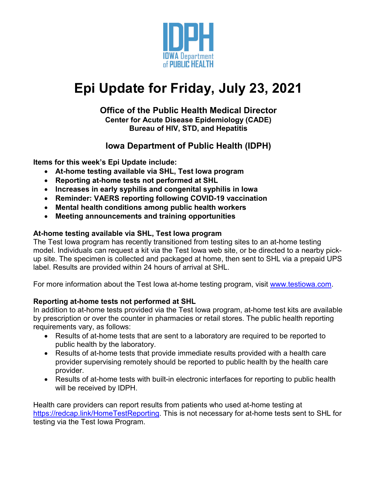

# **Epi Update for Friday, July 23, 2021**

## **Office of the Public Health Medical Director Center for Acute Disease Epidemiology (CADE) Bureau of HIV, STD, and Hepatitis**

# **Iowa Department of Public Health (IDPH)**

**Items for this week's Epi Update include:**

- **At-home testing available via SHL, Test Iowa program**
- **Reporting at-home tests not performed at SHL**
- **Increases in early syphilis and congenital syphilis in Iowa**
- **Reminder: VAERS reporting following COVID-19 vaccination**
- **Mental health conditions among public health workers**
- **Meeting announcements and training opportunities**

# **At-home testing available via SHL, Test Iowa program**

The Test Iowa program has recently transitioned from testing sites to an at-home testing model. Individuals can request a kit via the Test Iowa web site, or be directed to a nearby pickup site. The specimen is collected and packaged at home, then sent to SHL via a prepaid UPS label. Results are provided within 24 hours of arrival at SHL.

For more information about the Test Iowa at-home testing program, visit [www.testiowa.com.](http://www.testiowa.com/)

# **Reporting at-home tests not performed at SHL**

In addition to at-home tests provided via the Test Iowa program, at-home test kits are available by prescription or over the counter in pharmacies or retail stores. The public health reporting requirements vary, as follows:

- Results of at-home tests that are sent to a laboratory are required to be reported to public health by the laboratory.
- Results of at-home tests that provide immediate results provided with a health care provider supervising remotely should be reported to public health by the health care provider.
- Results of at-home tests with built-in electronic interfaces for reporting to public health will be received by IDPH.

Health care providers can report results from patients who used at-home testing at [https://redcap.link/HomeTestReporting.](https://redcap.link/HomeTestReporting) This is not necessary for at-home tests sent to SHL for testing via the Test Iowa Program.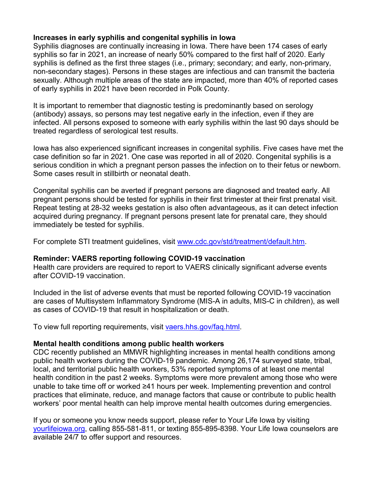## **Increases in early syphilis and congenital syphilis in Iowa**

Syphilis diagnoses are continually increasing in Iowa. There have been 174 cases of early syphilis so far in 2021, an increase of nearly 50% compared to the first half of 2020. Early syphilis is defined as the first three stages (i.e., primary; secondary; and early, non-primary, non-secondary stages). Persons in these stages are infectious and can transmit the bacteria sexually. Although multiple areas of the state are impacted, more than 40% of reported cases of early syphilis in 2021 have been recorded in Polk County.

It is important to remember that diagnostic testing is predominantly based on serology (antibody) assays, so persons may test negative early in the infection, even if they are infected. All persons exposed to someone with early syphilis within the last 90 days should be treated regardless of serological test results.

Iowa has also experienced significant increases in congenital syphilis. Five cases have met the case definition so far in 2021. One case was reported in all of 2020. Congenital syphilis is a serious condition in which a pregnant person passes the infection on to their fetus or newborn. Some cases result in stillbirth or neonatal death.

Congenital syphilis can be averted if pregnant persons are diagnosed and treated early. All pregnant persons should be tested for syphilis in their first trimester at their first prenatal visit. Repeat testing at 28-32 weeks gestation is also often advantageous, as it can detect infection acquired during pregnancy. If pregnant persons present late for prenatal care, they should immediately be tested for syphilis.

For complete STI treatment guidelines, visit [www.cdc.gov/std/treatment/default.htm.](http://www.cdc.gov/std/treatment/default.htm)

## **Reminder: VAERS reporting following COVID-19 vaccination**

Health care providers are required to report to VAERS clinically significant adverse events after COVID-19 vaccination.

Included in the list of adverse events that must be reported following COVID-19 vaccination are cases of Multisystem Inflammatory Syndrome (MIS-A in adults, MIS-C in children), as well as cases of COVID-19 that result in hospitalization or death.

To view full reporting requirements, visit [vaers.hhs.gov/faq.html.](https://vaers.hhs.gov/faq.html)

## **Mental health conditions among public health workers**

CDC recently published an MMWR highlighting increases in mental health conditions among public health workers during the COVID-19 pandemic. Among 26,174 surveyed state, tribal, local, and territorial public health workers, 53% reported symptoms of at least one mental health condition in the past 2 weeks. Symptoms were more prevalent among those who were unable to take time off or worked ≥41 hours per week. Implementing prevention and control practices that eliminate, reduce, and manage factors that cause or contribute to public health workers' poor mental health can help improve mental health outcomes during emergencies.

If you or someone you know needs support, please refer to Your Life Iowa by visiting [yourlifeiowa.org,](https://yourlifeiowa.org/) calling 855-581-811, or texting 855-895-8398. Your Life Iowa counselors are available 24/7 to offer support and resources.